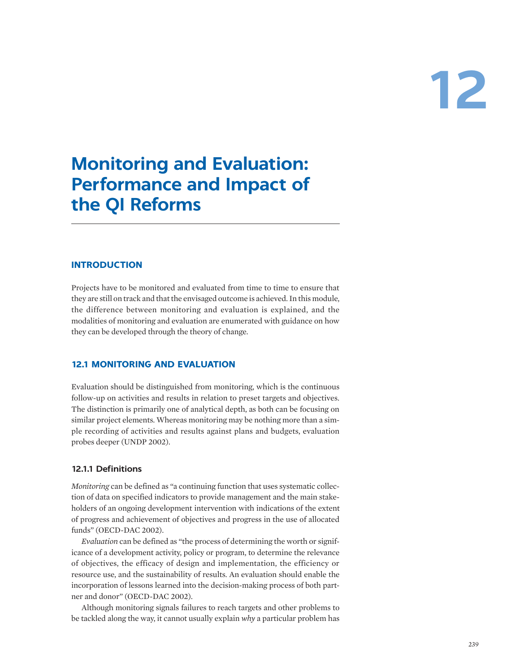# **12**

# **Monitoring and Evaluation: Performance and Impact of the QI Reforms**

# **INTRODUCTION**

Projects have to be monitored and evaluated from time to time to ensure that they are still on track and that the envisaged outcome is achieved. In this module, the difference between monitoring and evaluation is explained, and the modalities of monitoring and evaluation are enumerated with guidance on how they can be developed through the theory of change.

#### **12.1 MONITORING AND EVALUATION**

Evaluation should be distinguished from monitoring, which is the continuous follow-up on activities and results in relation to preset targets and objectives. The distinction is primarily one of analytical depth, as both can be focusing on similar project elements. Whereas monitoring may be nothing more than a simple recording of activities and results against plans and budgets, evaluation probes deeper (UNDP 2002).

#### **12.1.1 Definitions**

*Monitoring* can be defined as "a continuing function that uses systematic collection of data on specified indicators to provide management and the main stakeholders of an ongoing development intervention with indications of the extent of progress and achievement of objectives and progress in the use of allocated funds" (OECD-DAC 2002).

*Evaluation* can be defined as "the process of determining the worth or significance of a development activity, policy or program, to determine the relevance of objectives, the efficacy of design and implementation, the efficiency or resource use, and the sustainability of results. An evaluation should enable the incorporation of lessons learned into the decision-making process of both partner and donor" (OECD-DAC 2002).

Although monitoring signals failures to reach targets and other problems to be tackled along the way, it cannot usually explain *why* a particular problem has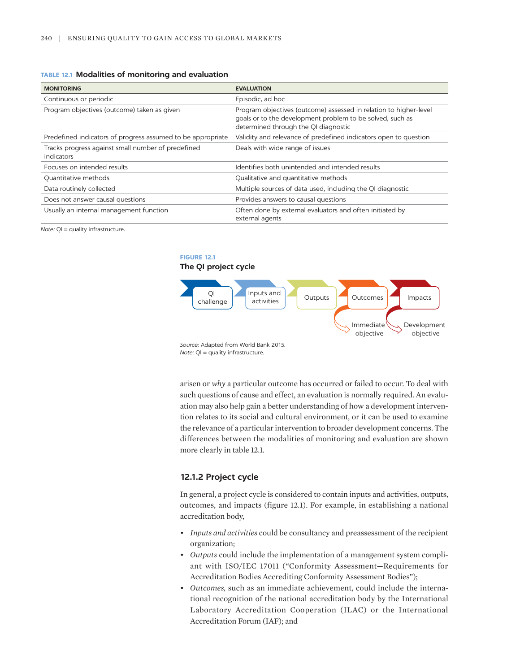#### **TABLE 12.1 Modalities of monitoring and evaluation**

| <b>MONITORING</b>                                                | <b>EVALUATION</b>                                                                                                                                                      |
|------------------------------------------------------------------|------------------------------------------------------------------------------------------------------------------------------------------------------------------------|
| Continuous or periodic                                           | Episodic, ad hoc                                                                                                                                                       |
| Program objectives (outcome) taken as given                      | Program objectives (outcome) assessed in relation to higher-level<br>goals or to the development problem to be solved, such as<br>determined through the QI diagnostic |
| Predefined indicators of progress assumed to be appropriate      | Validity and relevance of predefined indicators open to question                                                                                                       |
| Tracks progress against small number of predefined<br>indicators | Deals with wide range of issues                                                                                                                                        |
| Focuses on intended results                                      | Identifies both unintended and intended results                                                                                                                        |
| Quantitative methods                                             | Qualitative and quantitative methods                                                                                                                                   |
| Data routinely collected                                         | Multiple sources of data used, including the QI diagnostic                                                                                                             |
| Does not answer causal questions                                 | Provides answers to causal questions                                                                                                                                   |
| Usually an internal management function                          | Often done by external evaluators and often initiated by<br>external agents                                                                                            |

*Note:* QI = quality infrastructure.

#### **FIGURE 12.1 The QI project cycle**



*Note:* OI = quality infrastructure.

arisen or *why* a particular outcome has occurred or failed to occur. To deal with such questions of cause and effect, an evaluation is normally required. An evaluation may also help gain a better understanding of how a development intervention relates to its social and cultural environment, or it can be used to examine the relevance of a particular intervention to broader development concerns. The differences between the modalities of monitoring and evaluation are shown more clearly in table 12.1.

#### **12.1.2 Project cycle**

In general, a project cycle is considered to contain inputs and activities, outputs, outcomes, and impacts (figure 12.1). For example, in establishing a national accreditation body,

- *Inputs and activities* could be consultancy and preassessment of the recipient organization;
- *Outputs* could include the implementation of a management system compliant with ISO/IEC 17011 ("Conformity Assessment—Requirements for Accreditation Bodies Accrediting Conformity Assessment Bodies");
- *Outcomes,* such as an immediate achievement, could include the international recognition of the national accreditation body by the International Laboratory Accreditation Cooperation (ILAC) or the International Accreditation Forum (IAF); and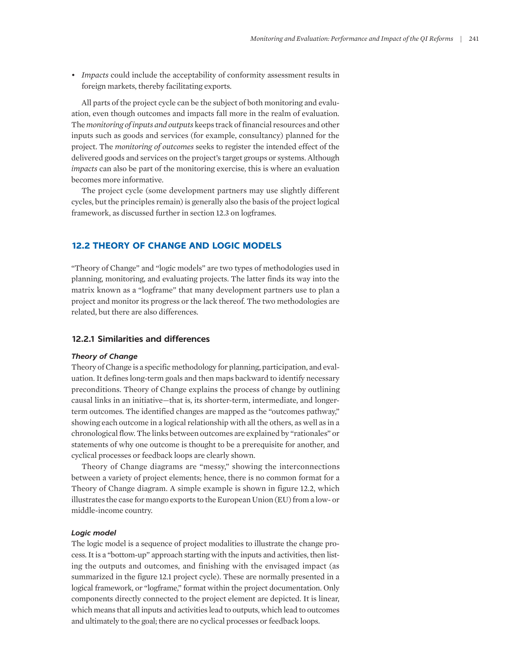• *Impacts* could include the acceptability of conformity assessment results in foreign markets, thereby facilitating exports.

All parts of the project cycle can be the subject of both monitoring and evaluation, even though outcomes and impacts fall more in the realm of evaluation. The *monitoring of inputs and outputs* keeps track of financial resources and other inputs such as goods and services (for example, consultancy) planned for the project. The *monitoring of outcomes* seeks to register the intended effect of the delivered goods and services on the project's target groups or systems. Although *impacts* can also be part of the monitoring exercise, this is where an evaluation becomes more informative.

The project cycle (some development partners may use slightly different cycles, but the principles remain) is generally also the basis of the project logical framework, as discussed further in section 12.3 on logframes.

## **12.2 THEORY OF CHANGE AND LOGIC MODELS**

"Theory of Change" and "logic models" are two types of methodologies used in planning, monitoring, and evaluating projects. The latter finds its way into the matrix known as a "logframe" that many development partners use to plan a project and monitor its progress or the lack thereof. The two methodologies are related, but there are also differences.

#### **12.2.1 Similarities and differences**

#### *Theory of Change*

Theory of Change is a specific methodology for planning, participation, and evaluation. It defines long-term goals and then maps backward to identify necessary preconditions. Theory of Change explains the process of change by outlining causal links in an initiative—that is, its shorter-term, intermediate, and longerterm outcomes. The identified changes are mapped as the "outcomes pathway," showing each outcome in a logical relationship with all the others, as well as in a chronological flow. The links between outcomes are explained by "rationales" or statements of why one outcome is thought to be a prerequisite for another, and cyclical processes or feedback loops are clearly shown.

Theory of Change diagrams are "messy," showing the interconnections between a variety of project elements; hence, there is no common format for a Theory of Change diagram. A simple example is shown in figure 12.2, which illustrates the case for mango exports to the European Union (EU) from a low- or middle-income country.

#### *Logic model*

The logic model is a sequence of project modalities to illustrate the change process. It is a "bottom-up" approach starting with the inputs and activities, then listing the outputs and outcomes, and finishing with the envisaged impact (as summarized in the figure 12.1 project cycle). These are normally presented in a logical framework, or "logframe," format within the project documentation. Only components directly connected to the project element are depicted. It is linear, which means that all inputs and activities lead to outputs, which lead to outcomes and ultimately to the goal; there are no cyclical processes or feedback loops.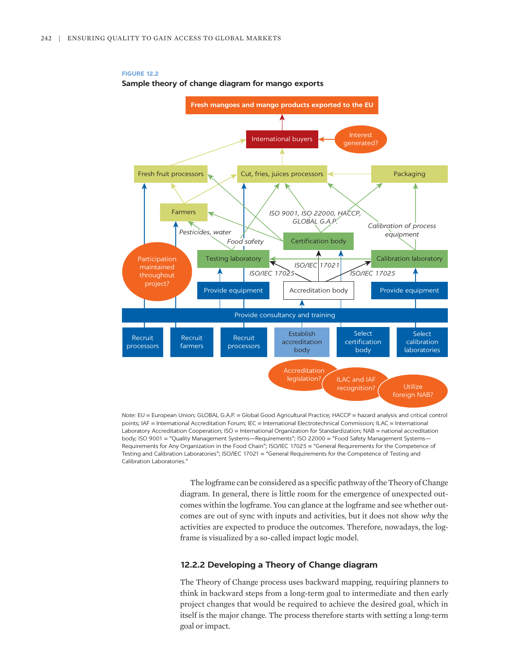

#### **FIGURE 12.2 Sample theory of change diagram for mango exports**

*Note:* EU = European Union; GLOBAL G.A.P. = Global Good Agricultural Practice; HACCP = hazard analysis and critical control points; IAF = International Accreditation Forum; IEC = International Electrotechnical Commission; ILAC = International Laboratory Accreditation Cooperation; ISO = International Organization for Standardization; NAB = national accreditation body; ISO 9001 = "Quality Management Systems—Requirements"; ISO 22000 = "Food Safety Management Systems— Requirements for Any Organization in the Food Chain"; ISO/IEC 17025 = "General Requirements for the Competence of Testing and Calibration Laboratories"; ISO/IEC 17021 = "General Requirements for the Competence of Testing and Calibration Laboratories."

The logframe can be considered as a specific pathway of the Theory of Change diagram. In general, there is little room for the emergence of unexpected outcomes within the logframe. You can glance at the logframe and see whether outcomes are out of sync with inputs and activities, but it does not show *why* the activities are expected to produce the outcomes. Therefore, nowadays, the logframe is visualized by a so-called impact logic model.

#### **12.2.2 Developing a Theory of Change diagram**

The Theory of Change process uses backward mapping, requiring planners to think in backward steps from a long-term goal to intermediate and then early project changes that would be required to achieve the desired goal, which in itself is the major change. The process therefore starts with setting a long-term goal or impact.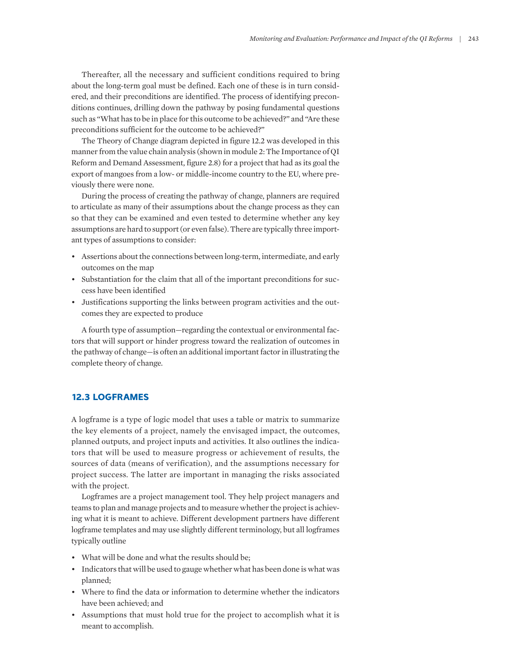Thereafter, all the necessary and sufficient conditions required to bring about the long-term goal must be defined. Each one of these is in turn considered, and their preconditions are identified. The process of identifying preconditions continues, drilling down the pathway by posing fundamental questions such as "What has to be in place for this outcome to be achieved?" and "Are these preconditions sufficient for the outcome to be achieved?"

The Theory of Change diagram depicted in figure 12.2 was developed in this manner from the value chain analysis (shown in module 2: The Importance of QI Reform and Demand Assessment, figure 2.8) for a project that had as its goal the export of mangoes from a low- or middle-income country to the EU, where previously there were none.

During the process of creating the pathway of change, planners are required to articulate as many of their assumptions about the change process as they can so that they can be examined and even tested to determine whether any key assumptions are hard to support (or even false). There are typically three important types of assumptions to consider:

- Assertions about the connections between long-term, intermediate, and early outcomes on the map
- Substantiation for the claim that all of the important preconditions for success have been identified
- Justifications supporting the links between program activities and the outcomes they are expected to produce

A fourth type of assumption—regarding the contextual or environmental factors that will support or hinder progress toward the realization of outcomes in the pathway of change—is often an additional important factor in illustrating the complete theory of change.

# **12.3 LOGFRAMES**

A logframe is a type of logic model that uses a table or matrix to summarize the key elements of a project, namely the envisaged impact, the outcomes, planned outputs, and project inputs and activities. It also outlines the indicators that will be used to measure progress or achievement of results, the sources of data (means of verification), and the assumptions necessary for project success. The latter are important in managing the risks associated with the project.

Logframes are a project management tool. They help project managers and teams to plan and manage projects and to measure whether the project is achieving what it is meant to achieve. Different development partners have different logframe templates and may use slightly different terminology, but all logframes typically outline

- What will be done and what the results should be;
- Indicators that will be used to gauge whether what has been done is what was planned;
- Where to find the data or information to determine whether the indicators have been achieved; and
- Assumptions that must hold true for the project to accomplish what it is meant to accomplish.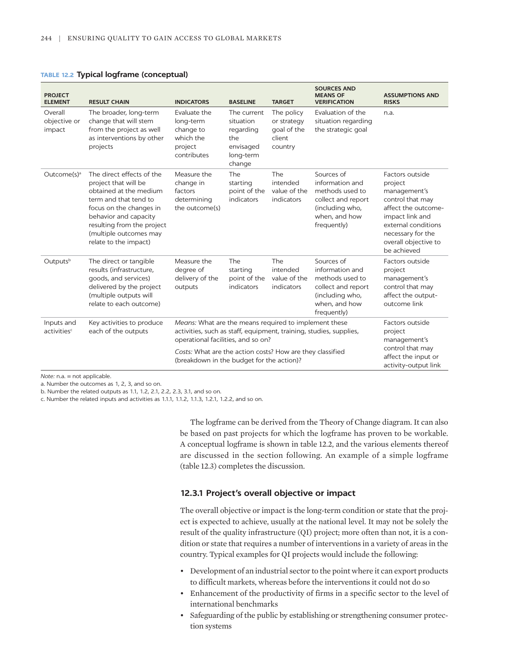| <b>PROJECT</b><br><b>ELEMENT</b>      | <b>RESULT CHAIN</b>                                                                                                                                                                                                                       | <b>INDICATORS</b>                                                                                                                                                 | <b>BASELINE</b>                                                                  | <b>TARGET</b>                                                 | <b>SOURCES AND</b><br><b>MEANS OF</b><br><b>VERIFICATION</b>                                                              | <b>ASSUMPTIONS AND</b><br><b>RISKS</b>                                                                                                                                                      |
|---------------------------------------|-------------------------------------------------------------------------------------------------------------------------------------------------------------------------------------------------------------------------------------------|-------------------------------------------------------------------------------------------------------------------------------------------------------------------|----------------------------------------------------------------------------------|---------------------------------------------------------------|---------------------------------------------------------------------------------------------------------------------------|---------------------------------------------------------------------------------------------------------------------------------------------------------------------------------------------|
| Overall<br>objective or<br>impact     | The broader, long-term<br>change that will stem<br>from the project as well<br>as interventions by other<br>projects                                                                                                                      | Evaluate the<br>long-term<br>change to<br>which the<br>project<br>contributes                                                                                     | The current<br>situation<br>regarding<br>the<br>envisaged<br>long-term<br>change | The policy<br>or strategy<br>goal of the<br>client<br>country | Evaluation of the<br>situation regarding<br>the strategic goal                                                            | n.a.                                                                                                                                                                                        |
| Outcome(s) <sup>a</sup>               | The direct effects of the<br>project that will be<br>obtained at the medium<br>term and that tend to<br>focus on the changes in<br>behavior and capacity<br>resulting from the project<br>(multiple outcomes may<br>relate to the impact) | Measure the<br>change in<br>factors<br>determining<br>the outcome(s)                                                                                              | The<br>starting<br>point of the<br>indicators                                    | The<br>intended<br>value of the<br>indicators                 | Sources of<br>information and<br>methods used to<br>collect and report<br>(including who,<br>when, and how<br>frequently) | Factors outside<br>project<br>management's<br>control that may<br>affect the outcome-<br>impact link and<br>external conditions<br>necessary for the<br>overall objective to<br>be achieved |
| Outputsb                              | The direct or tangible<br>results (infrastructure,<br>goods, and services)<br>delivered by the project<br>(multiple outputs will<br>relate to each outcome)                                                                               | Measure the<br>degree of<br>delivery of the<br>outputs                                                                                                            | The<br>starting<br>point of the<br>indicators                                    | The<br>intended<br>value of the<br>indicators                 | Sources of<br>information and<br>methods used to<br>collect and report<br>(including who,<br>when, and how<br>frequently) | Factors outside<br>project<br>management's<br>control that may<br>affect the output-<br>outcome link                                                                                        |
| Inputs and<br>activities <sup>c</sup> | Key activities to produce<br>each of the outputs                                                                                                                                                                                          | Means: What are the means required to implement these<br>activities, such as staff, equipment, training, studies, supplies,<br>operational facilities, and so on? |                                                                                  |                                                               |                                                                                                                           | Factors outside<br>project<br>management's<br>control that may                                                                                                                              |
|                                       |                                                                                                                                                                                                                                           | Costs: What are the action costs? How are they classified<br>(breakdown in the budget for the action)?                                                            |                                                                                  |                                                               |                                                                                                                           | affect the input or<br>activity-output link                                                                                                                                                 |

#### **TABLE 12.2 Typical logframe (conceptual)**

*Note:* n.a. = not applicable.

a. Number the outcomes as 1, 2, 3, and so on.

b. Number the related outputs as 1.1, 1.2, 2.1, 2.2, 2.3, 3.1, and so on.

c. Number the related inputs and activities as 1.1.1, 1.1.2, 1.1.3, 1.2.1, 1.2.2, and so on.

The logframe can be derived from the Theory of Change diagram. It can also be based on past projects for which the logframe has proven to be workable. A conceptual logframe is shown in table 12.2, and the various elements thereof are discussed in the section following. An example of a simple logframe (table 12.3) completes the discussion.

#### **12.3.1 Project's overall objective or impact**

The overall objective or impact is the long-term condition or state that the project is expected to achieve, usually at the national level. It may not be solely the result of the quality infrastructure (QI) project; more often than not, it is a condition or state that requires a number of interventions in a variety of areas in the country. Typical examples for QI projects would include the following:

- Development of an industrial sector to the point where it can export products to difficult markets, whereas before the interventions it could not do so
- Enhancement of the productivity of firms in a specific sector to the level of international benchmarks
- Safeguarding of the public by establishing or strengthening consumer protection systems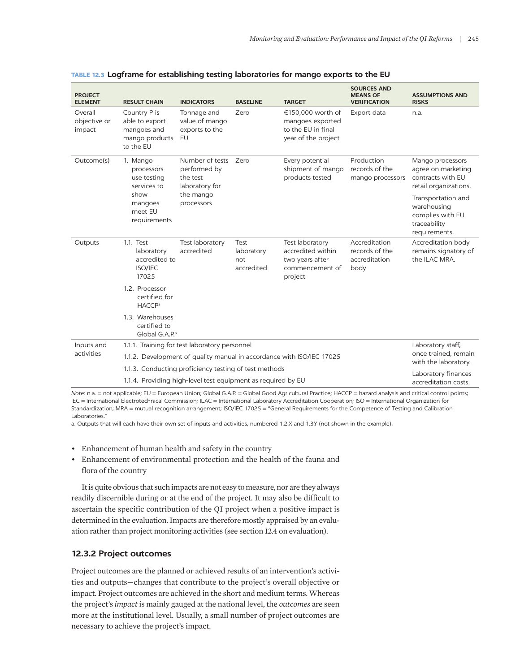| <b>PROJECT</b><br><b>ELEMENT</b>  | <b>RESULT CHAIN</b>                                                                                | <b>INDICATORS</b>                                                                             | <b>BASELINE</b>                         | <b>TARGET</b>                                                                         | <b>SOURCES AND</b><br><b>MEANS OF</b><br><b>VERIFICATION</b> | <b>ASSUMPTIONS AND</b><br><b>RISKS</b>                                                 |
|-----------------------------------|----------------------------------------------------------------------------------------------------|-----------------------------------------------------------------------------------------------|-----------------------------------------|---------------------------------------------------------------------------------------|--------------------------------------------------------------|----------------------------------------------------------------------------------------|
| Overall<br>objective or<br>impact | Country P is<br>able to export<br>mangoes and<br>mango products<br>to the EU                       | Tonnage and<br>value of mango<br>exports to the<br><b>EU</b>                                  | Zero                                    | €150,000 worth of<br>mangoes exported<br>to the EU in final<br>year of the project    | Export data                                                  | n.a.                                                                                   |
| Outcome(s)                        | 1. Mango<br>processors<br>use testing<br>services to<br>show<br>mangoes<br>meet EU<br>requirements | Number of tests Zero<br>performed by<br>the test<br>laboratory for<br>the mango<br>processors |                                         | Every potential<br>shipment of mango<br>products tested                               | Production<br>records of the<br>mango processors             | Mango processors<br>agree on marketing<br>contracts with EU<br>retail organizations.   |
|                                   |                                                                                                    |                                                                                               |                                         |                                                                                       |                                                              | Transportation and<br>warehousing<br>complies with EU<br>traceability<br>requirements. |
| Outputs                           | 1.1. Test<br>laboratory<br>accredited to<br><b>ISO/IEC</b><br>17025                                | Test laboratory<br>accredited                                                                 | Test<br>laboratory<br>not<br>accredited | Test laboratory<br>accredited within<br>two years after<br>commencement of<br>project | Accreditation<br>records of the<br>accreditation<br>body     | Accreditation body<br>remains signatory of<br>the ILAC MRA.                            |
|                                   | 1.2. Processor<br>certified for<br><b>HACCP</b> <sup>a</sup>                                       |                                                                                               |                                         |                                                                                       |                                                              |                                                                                        |
|                                   | 1.3. Warehouses<br>certified to<br>Global G.A.P.ª                                                  |                                                                                               |                                         |                                                                                       |                                                              |                                                                                        |
| Inputs and                        | 1.1.1. Training for test laboratory personnel                                                      | Laboratory staff,                                                                             |                                         |                                                                                       |                                                              |                                                                                        |
| activities                        | 1.1.2. Development of quality manual in accordance with ISO/IEC 17025                              | once trained, remain<br>with the laboratory.                                                  |                                         |                                                                                       |                                                              |                                                                                        |
|                                   | 1.1.3. Conducting proficiency testing of test methods                                              | Laboratory finances                                                                           |                                         |                                                                                       |                                                              |                                                                                        |
|                                   |                                                                                                    | 1.1.4. Providing high-level test equipment as required by EU                                  |                                         |                                                                                       |                                                              | accreditation costs.                                                                   |

|  |  | TABLE 12.3 Logframe for establishing testing laboratories for mango exports to the EU |  |
|--|--|---------------------------------------------------------------------------------------|--|
|--|--|---------------------------------------------------------------------------------------|--|

*Note:* n.a. = not applicable; EU = European Union; Global G.A.P. = Global Good Agricultural Practice; HACCP = hazard analysis and critical control points; IEC = International Electrotechnical Commission; ILAC = International Laboratory Accreditation Cooperation; ISO = International Organization for Standardization; MRA = mutual recognition arrangement; ISO/IEC 17025 = "General Requirements for the Competence of Testing and Calibration Laboratories."

a. Outputs that will each have their own set of inputs and activities, numbered 1.2.X and 1.3.Y (not shown in the example).

- Enhancement of human health and safety in the country
- Enhancement of environmental protection and the health of the fauna and flora of the country

It is quite obvious that such impacts are not easy to measure, nor are they always readily discernible during or at the end of the project. It may also be difficult to ascertain the specific contribution of the QI project when a positive impact is determined in the evaluation. Impacts are therefore mostly appraised by an evaluation rather than project monitoring activities (see section 12.4 on evaluation).

#### **12.3.2 Project outcomes**

Project outcomes are the planned or achieved results of an intervention's activities and outputs—changes that contribute to the project's overall objective or impact. Project outcomes are achieved in the short and medium terms. Whereas the project's *impact* is mainly gauged at the national level, the *outcomes* are seen more at the institutional level. Usually, a small number of project outcomes are necessary to achieve the project's impact.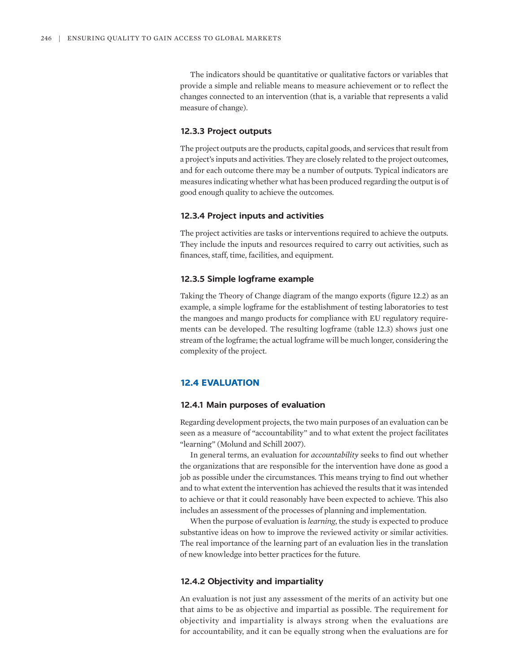The indicators should be quantitative or qualitative factors or variables that provide a simple and reliable means to measure achievement or to reflect the changes connected to an intervention (that is, a variable that represents a valid measure of change).

#### **12.3.3 Project outputs**

The project outputs are the products, capital goods, and services that result from a project's inputs and activities. They are closely related to the project outcomes, and for each outcome there may be a number of outputs. Typical indicators are measures indicating whether what has been produced regarding the output is of good enough quality to achieve the outcomes.

#### **12.3.4 Project inputs and activities**

The project activities are tasks or interventions required to achieve the outputs. They include the inputs and resources required to carry out activities, such as finances, staff, time, facilities, and equipment.

#### **12.3.5 Simple logframe example**

Taking the Theory of Change diagram of the mango exports (figure 12.2) as an example, a simple logframe for the establishment of testing laboratories to test the mangoes and mango products for compliance with EU regulatory requirements can be developed. The resulting logframe (table 12.3) shows just one stream of the logframe; the actual logframe will be much longer, considering the complexity of the project.

#### **12.4 EVALUATION**

#### **12.4.1 Main purposes of evaluation**

Regarding development projects, the two main purposes of an evaluation can be seen as a measure of "accountability" and to what extent the project facilitates "learning" (Molund and Schill 2007).

In general terms, an evaluation for *accountability* seeks to find out whether the organizations that are responsible for the intervention have done as good a job as possible under the circumstances. This means trying to find out whether and to what extent the intervention has achieved the results that it was intended to achieve or that it could reasonably have been expected to achieve. This also includes an assessment of the processes of planning and implementation.

When the purpose of evaluation is *learning*, the study is expected to produce substantive ideas on how to improve the reviewed activity or similar activities. The real importance of the learning part of an evaluation lies in the translation of new knowledge into better practices for the future.

#### **12.4.2 Objectivity and impartiality**

An evaluation is not just any assessment of the merits of an activity but one that aims to be as objective and impartial as possible. The requirement for objectivity and impartiality is always strong when the evaluations are for accountability, and it can be equally strong when the evaluations are for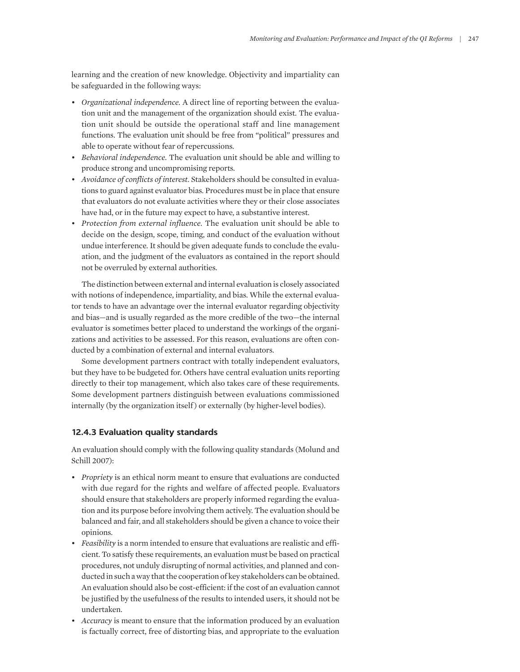learning and the creation of new knowledge. Objectivity and impartiality can be safeguarded in the following ways:

- *Organizational independence.* A direct line of reporting between the evaluation unit and the management of the organization should exist. The evaluation unit should be outside the operational staff and line management functions. The evaluation unit should be free from "political" pressures and able to operate without fear of repercussions.
- *Behavioral independence.* The evaluation unit should be able and willing to produce strong and uncompromising reports.
- *Avoidance of conflicts of interest.* Stakeholders should be consulted in evaluations to guard against evaluator bias. Procedures must be in place that ensure that evaluators do not evaluate activities where they or their close associates have had, or in the future may expect to have, a substantive interest.
- *Protection from external influence.* The evaluation unit should be able to decide on the design, scope, timing, and conduct of the evaluation without undue interference. It should be given adequate funds to conclude the evaluation, and the judgment of the evaluators as contained in the report should not be overruled by external authorities.

The distinction between external and internal evaluation is closely associated with notions of independence, impartiality, and bias. While the external evaluator tends to have an advantage over the internal evaluator regarding objectivity and bias—and is usually regarded as the more credible of the two—the internal evaluator is sometimes better placed to understand the workings of the organizations and activities to be assessed. For this reason, evaluations are often conducted by a combination of external and internal evaluators.

Some development partners contract with totally independent evaluators, but they have to be budgeted for. Others have central evaluation units reporting directly to their top management, which also takes care of these requirements. Some development partners distinguish between evaluations commissioned internally (by the organization itself) or externally (by higher-level bodies).

#### **12.4.3 Evaluation quality standards**

An evaluation should comply with the following quality standards (Molund and Schill 2007):

- *Propriety* is an ethical norm meant to ensure that evaluations are conducted with due regard for the rights and welfare of affected people. Evaluators should ensure that stakeholders are properly informed regarding the evaluation and its purpose before involving them actively. The evaluation should be balanced and fair, and all stakeholders should be given a chance to voice their opinions.
- *Feasibility* is a norm intended to ensure that evaluations are realistic and efficient. To satisfy these requirements, an evaluation must be based on practical procedures, not unduly disrupting of normal activities, and planned and conducted in such a way that the cooperation of key stakeholders can be obtained. An evaluation should also be cost-efficient: if the cost of an evaluation cannot be justified by the usefulness of the results to intended users, it should not be undertaken.
- *Accuracy* is meant to ensure that the information produced by an evaluation is factually correct, free of distorting bias, and appropriate to the evaluation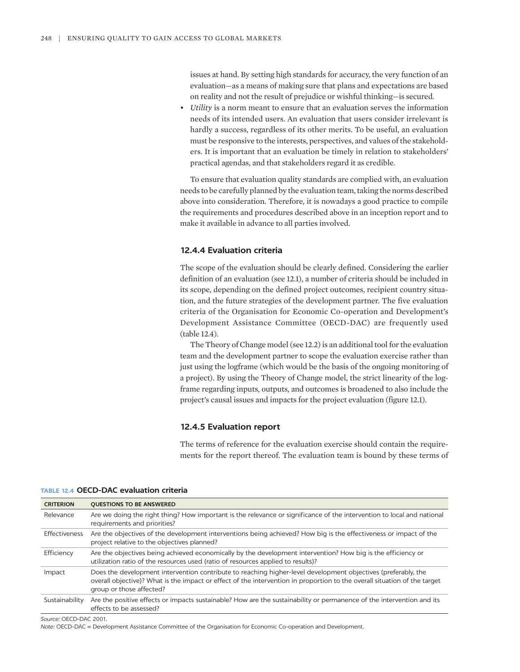issues at hand. By setting high standards for accuracy, the very function of an evaluation—as a means of making sure that plans and expectations are based on reality and not the result of prejudice or wishful thinking—is secured.

• *Utility* is a norm meant to ensure that an evaluation serves the information needs of its intended users. An evaluation that users consider irrelevant is hardly a success, regardless of its other merits. To be useful, an evaluation must be responsive to the interests, perspectives, and values of the stakeholders. It is important that an evaluation be timely in relation to stakeholders' practical agendas, and that stakeholders regard it as credible.

To ensure that evaluation quality standards are complied with, an evaluation needs to be carefully planned by the evaluation team, taking the norms described above into consideration. Therefore, it is nowadays a good practice to compile the requirements and procedures described above in an inception report and to make it available in advance to all parties involved.

#### **12.4.4 Evaluation criteria**

The scope of the evaluation should be clearly defined. Considering the earlier definition of an evaluation (see 12.1), a number of criteria should be included in its scope, depending on the defined project outcomes, recipient country situation, and the future strategies of the development partner. The five evaluation criteria of the Organisation for Economic Co-operation and Development's Development Assistance Committee (OECD-DAC) are frequently used (table 12.4).

The Theory of Change model (see 12.2) is an additional tool for the evaluation team and the development partner to scope the evaluation exercise rather than just using the logframe (which would be the basis of the ongoing monitoring of a project). By using the Theory of Change model, the strict linearity of the logframe regarding inputs, outputs, and outcomes is broadened to also include the project's causal issues and impacts for the project evaluation (figure 12.1).

#### **12.4.5 Evaluation report**

The terms of reference for the evaluation exercise should contain the requirements for the report thereof. The evaluation team is bound by these terms of

| <b>CRITERION</b>     | <b>QUESTIONS TO BE ANSWERED</b>                                                                                                                                                                                                                                        |
|----------------------|------------------------------------------------------------------------------------------------------------------------------------------------------------------------------------------------------------------------------------------------------------------------|
| Relevance            | Are we doing the right thing? How important is the relevance or significance of the intervention to local and national<br>requirements and priorities?                                                                                                                 |
| <b>Effectiveness</b> | Are the objectives of the development interventions being achieved? How big is the effectiveness or impact of the<br>project relative to the objectives planned?                                                                                                       |
| Efficiency           | Are the objectives being achieved economically by the development intervention? How big is the efficiency or<br>utilization ratio of the resources used (ratio of resources applied to results)?                                                                       |
| Impact               | Does the development intervention contribute to reaching higher-level development objectives (preferably, the<br>overall objective)? What is the impact or effect of the intervention in proportion to the overall situation of the target<br>group or those affected? |
| Sustainability       | Are the positive effects or impacts sustainable? How are the sustainability or permanence of the intervention and its<br>effects to be assessed?                                                                                                                       |

**TABLE 12.4 OECD-DAC evaluation criteria**

*Source:* OECD-DAC 2001.

*Note:* OECD-DAC = Development Assistance Committee of the Organisation for Economic Co-operation and Development.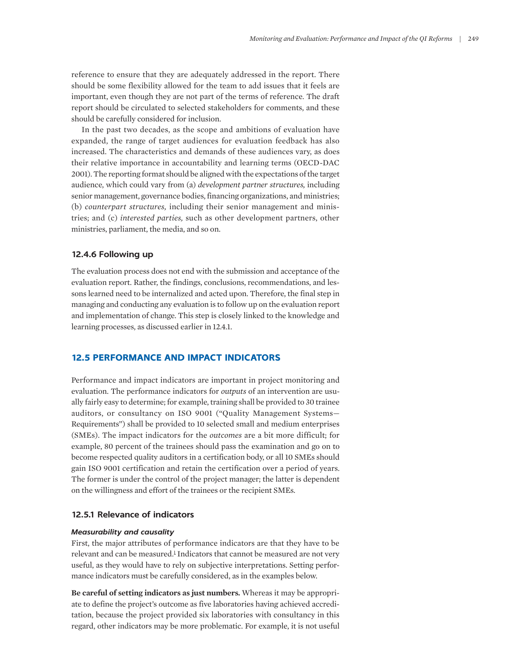reference to ensure that they are adequately addressed in the report. There should be some flexibility allowed for the team to add issues that it feels are important, even though they are not part of the terms of reference. The draft report should be circulated to selected stakeholders for comments, and these should be carefully considered for inclusion.

In the past two decades, as the scope and ambitions of evaluation have expanded, the range of target audiences for evaluation feedback has also increased. The characteristics and demands of these audiences vary, as does their relative importance in accountability and learning terms (OECD-DAC 2001). The reporting format should be aligned with the expectations of the target audience, which could vary from (a) *development partner structures,* including senior management, governance bodies, financing organizations, and ministries; (b) *counterpart structures,* including their senior management and ministries; and (c) *interested parties,* such as other development partners, other ministries, parliament, the media, and so on.

#### **12.4.6 Following up**

The evaluation process does not end with the submission and acceptance of the evaluation report. Rather, the findings, conclusions, recommendations, and lessons learned need to be internalized and acted upon. Therefore, the final step in managing and conducting any evaluation is to follow up on the evaluation report and implementation of change. This step is closely linked to the knowledge and learning processes, as discussed earlier in 12.4.1.

### **12.5 PERFORMANCE AND IMPACT INDICATORS**

Performance and impact indicators are important in project monitoring and evaluation. The performance indicators for *outputs* of an intervention are usually fairly easy to determine; for example, training shall be provided to 30 trainee auditors, or consultancy on ISO 9001 ("Quality Management Systems— Requirements") shall be provided to 10 selected small and medium enterprises (SMEs). The impact indicators for the *outcomes* are a bit more difficult; for example, 80 percent of the trainees should pass the examination and go on to become respected quality auditors in a certification body, or all 10 SMEs should gain ISO 9001 certification and retain the certification over a period of years. The former is under the control of the project manager; the latter is dependent on the willingness and effort of the trainees or the recipient SMEs.

#### **12.5.1 Relevance of indicators**

#### *Measurability and causality*

<span id="page-10-0"></span>First, the major attributes of performance indicators are that they have to be relevant and can be measured.<sup>[1](#page-12-0)</sup> Indicators that cannot be measured are not very useful, as they would have to rely on subjective interpretations. Setting performance indicators must be carefully considered, as in the examples below.

**Be careful of setting indicators as just numbers.** Whereas it may be appropriate to define the project's outcome as five laboratories having achieved accreditation, because the project provided six laboratories with consultancy in this regard, other indicators may be more problematic. For example, it is not useful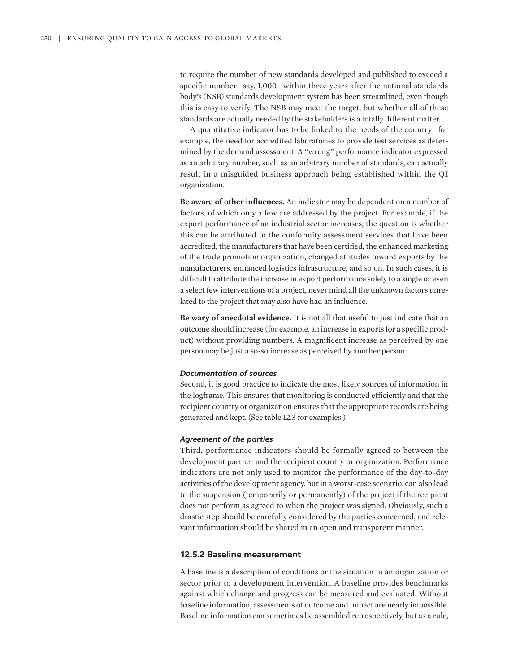to require the number of new standards developed and published to exceed a specific number—say, 1,000—within three years after the national standards body's (NSB) standards development system has been streamlined, even though this is easy to verify. The NSB may meet the target, but whether all of these standards are actually needed by the stakeholders is a totally different matter.

A quantitative indicator has to be linked to the needs of the country—for example, the need for accredited laboratories to provide test services as determined by the demand assessment. A "wrong" performance indicator expressed as an arbitrary number, such as an arbitrary number of standards, can actually result in a misguided business approach being established within the QI organization.

**Be aware of other influences.** An indicator may be dependent on a number of factors, of which only a few are addressed by the project. For example, if the export performance of an industrial sector increases, the question is whether this can be attributed to the conformity assessment services that have been accredited, the manufacturers that have been certified, the enhanced marketing of the trade promotion organization, changed attitudes toward exports by the manufacturers, enhanced logistics infrastructure, and so on. In such cases, it is difficult to attribute the increase in export performance solely to a single or even a select few interventions of a project, never mind all the unknown factors unrelated to the project that may also have had an influence.

**Be wary of anecdotal evidence.** It is not all that useful to just indicate that an outcome should increase (for example, an increase in exports for a specific product) without providing numbers. A magnificent increase as perceived by one person may be just a so-so increase as perceived by another person.

#### *Documentation of sources*

Second, it is good practice to indicate the most likely sources of information in the logframe. This ensures that monitoring is conducted efficiently and that the recipient country or organization ensures that the appropriate records are being generated and kept. (See table 12.3 for examples.)

#### *Agreement of the parties*

Third, performance indicators should be formally agreed to between the development partner and the recipient country or organization. Performance indicators are not only used to monitor the performance of the day-to-day activities of the development agency, but in a worst-case scenario, can also lead to the suspension (temporarily or permanently) of the project if the recipient does not perform as agreed to when the project was signed. Obviously, such a drastic step should be carefully considered by the parties concerned, and relevant information should be shared in an open and transparent manner.

#### **12.5.2 Baseline measurement**

A baseline is a description of conditions or the situation in an organization or sector prior to a development intervention. A baseline provides benchmarks against which change and progress can be measured and evaluated. Without baseline information, assessments of outcome and impact are nearly impossible. Baseline information can sometimes be assembled retrospectively, but as a rule,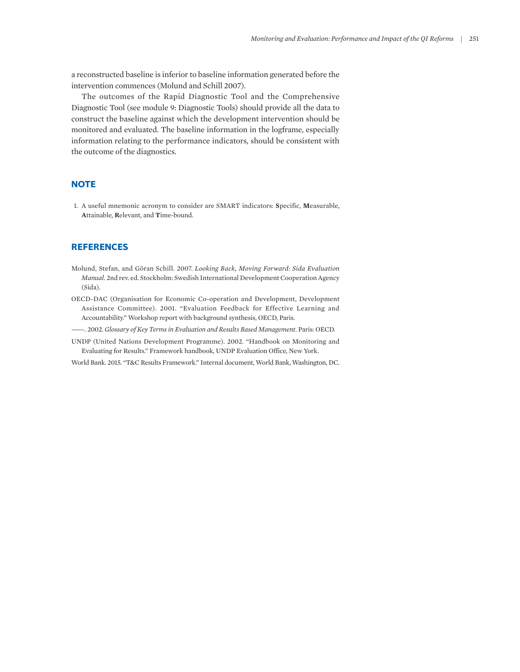a reconstructed baseline is inferior to baseline information generated before the intervention commences (Molund and Schill 2007).

The outcomes of the Rapid Diagnostic Tool and the Comprehensive Diagnostic Tool (see module 9: Diagnostic Tools) should provide all the data to construct the baseline against which the development intervention should be monitored and evaluated. The baseline information in the logframe, especially information relating to the performance indicators, should be consistent with the outcome of the diagnostics.

# **NOTE**

<span id="page-12-0"></span>[1.](#page-10-0) [A](#page-10-0) [useful](#page-10-0) [mnemonic acronym](#page-10-0) [to consider](#page-10-0) [are SMART indicators:](#page-10-0) **S**[pecific,](#page-10-0) **M**[easurable,](#page-10-0)  **A**[ttainable,](#page-10-0) **R**[elevant, and](#page-10-0) **T**[ime-bound.](#page-10-0)

# **REFERENCES**

- Molund, Stefan, and Göran Schill. 2007. *Looking Back, Moving Forward: Sida Evaluation Manual.* 2nd rev. ed. Stockholm: Swedish International Development Cooperation Agency (Sida).
- OECD-DAC (Organisation for Economic Co-operation and Development, Development Assistance Committee). 2001. "Evaluation Feedback for Effective Learning and Accountability." Workshop report with background synthesis, OECD, Paris.
- ———. 2002. *Glossary of Key Terms in Evaluation and Results Based Management.* Paris: OECD.
- UNDP (United Nations Development Programme). 2002. "Handbook on Monitoring and Evaluating for Results." Framework handbook, UNDP Evaluation Office, New York.
- World Bank. 2015. "T&C Results Framework." Internal document, World Bank, Washington, DC.